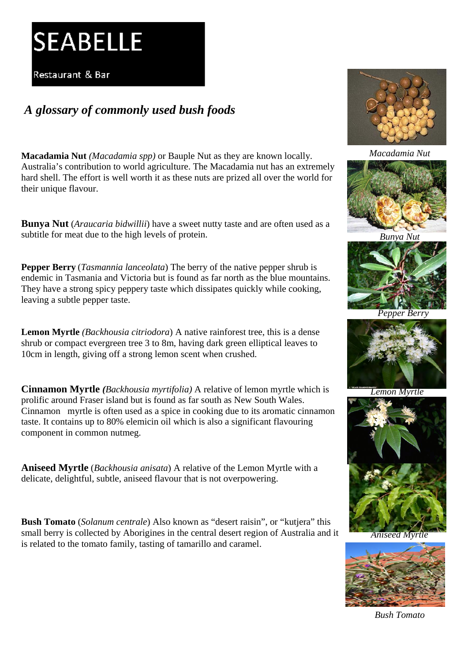## **SEABELLE**

Restaurant & Bar

## *A glossary of commonly used bush foods*

**Macadamia Nut** *(Macadamia spp)* or Bauple Nut as they are known locally. Australia's contribution to world agriculture. The Macadamia nut has an extremely hard shell. The effort is well worth it as these nuts are prized all over the world for their unique flavour.

**Bunya Nut** (*Araucaria bidwillii*) have a sweet nutty taste and are often used as a subtitle for meat due to the high levels of protein.

**Pepper Berry** (*Tasmannia lanceolata*) The berry of the native pepper shrub is endemic in Tasmania and Victoria but is found as far north as the blue mountains. They have a strong spicy peppery taste which dissipates quickly while cooking, leaving a subtle pepper taste.

**Lemon Myrtle** *(Backhousia citriodora*) A native rainforest tree, this is a dense shrub or compact evergreen tree 3 to 8m, having dark green elliptical leaves to 10cm in length, giving off a strong lemon scent when crushed.

**Cinnamon Myrtle** *(Backhousia myrtifolia)* A relative of lemon myrtle which is prolific around Fraser island but is found as far south as New South Wales. Cinnamon myrtle is often used as a spice in cooking due to its aromatic cinnamon taste. It contains up to 80% elemicin oil which is also a significant flavouring component in common nutmeg.

**Aniseed Myrtle** (*Backhousia anisata*) A relative of the Lemon Myrtle with a delicate, delightful, subtle, aniseed flavour that is not overpowering.

**Bush Tomato** (*Solanum centrale*) Also known as "desert raisin", or "kutjera" this small berry is collected by Aborigines in the central desert region of Australia and it is related to the tomato family, tasting of tamarillo and caramel.



*Macadamia Nut*







*Pepper Berry*



 *Lemon Myrtle*



*Aniseed Myrtle*



*Bush Tomato*